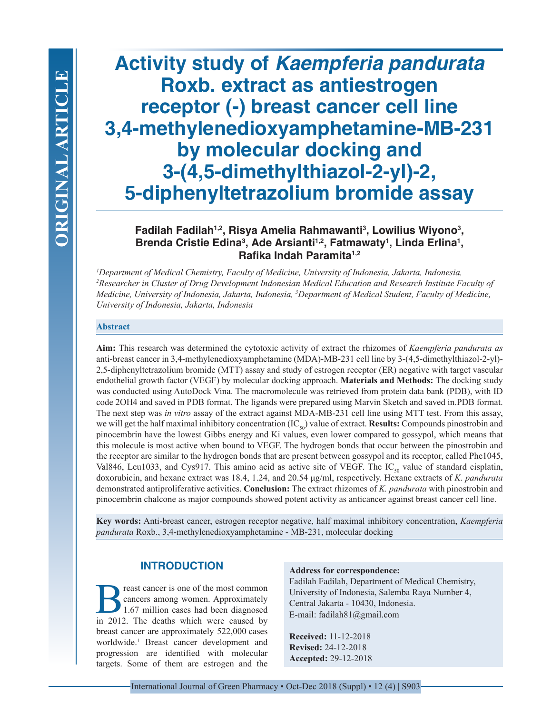# **Activity study of** *Kaempferia pandurata*  **Roxb. extract as antiestrogen receptor (-) breast cancer cell line 3,4-methylenedioxyamphetamine-MB-231 by molecular docking and 3-(4,5-dimethylthiazol-2-yl)-2, 5-diphenyltetrazolium bromide assay**

**Fadilah Fadilah1,2, Risya Amelia Rahmawanti3 , Lowilius Wiyono3 ,**  Brenda Cristie Edina<sup>3</sup>, Ade Arsianti<sup>1,2</sup>, Fatmawaty<sup>1</sup>, Linda Erlina<sup>1</sup>, **Rafika Indah Paramita1,2**

*1 Department of Medical Chemistry, Faculty of Medicine, University of Indonesia, Jakarta, Indonesia, 2 Researcher in Cluster of Drug Development Indonesian Medical Education and Research Institute Faculty of Medicine, University of Indonesia, Jakarta, Indonesia, 3 Department of Medical Student, Faculty of Medicine, University of Indonesia, Jakarta, Indonesia*

## **Abstract**

**Aim:** This research was determined the cytotoxic activity of extract the rhizomes of *Kaempferia pandurata as*  anti-breast cancer in 3,4-methylenedioxyamphetamine (MDA)-MB-231 cell line by 3-(4,5-dimethylthiazol-2-yl)- 2,5-diphenyltetrazolium bromide (MTT) assay and study of estrogen receptor (ER) negative with target vascular endothelial growth factor (VEGF) by molecular docking approach. **Materials and Methods:** The docking study was conducted using AutoDock Vina. The macromolecule was retrieved from protein data bank (PDB), with ID code 2OH4 and saved in PDB format. The ligands were prepared using Marvin Sketch and saved in.PDB format. The next step was *in vitro* assay of the extract against MDA-MB-231 cell line using MTT test. From this assay, we will get the half maximal inhibitory concentration (IC<sub>50</sub>) value of extract. **Results:** Compounds pinostrobin and pinocembrin have the lowest Gibbs energy and Ki values, even lower compared to gossypol, which means that this molecule is most active when bound to VEGF. The hydrogen bonds that occur between the pinostrobin and the receptor are similar to the hydrogen bonds that are present between gossypol and its receptor, called Phe1045, Val846, Leu1033, and Cys917. This amino acid as active site of VEGF. The IC<sub>50</sub> value of standard cisplatin, doxorubicin, and hexane extract was 18.4, 1.24, and 20.54 μg/ml, respectively. Hexane extracts of *K. pandurata* demonstrated antiproliferative activities. **Conclusion:** The extract rhizomes of *K. pandurata* with pinostrobin and pinocembrin chalcone as major compounds showed potent activity as anticancer against breast cancer cell line.

**Key words:** Anti-breast cancer, estrogen receptor negative, half maximal inhibitory concentration, *Kaempferia pandurata* Roxb., 3,4-methylenedioxyamphetamine - MB-231, molecular docking

# **INTRODUCTION**

reast cancer is one of the most common cancers among women. Approximately 1.67 million cases had been diagnosed in 2012. The deaths which were caused by breast cancer are approximately 522,000 cases worldwide.<sup>1</sup> Breast cancer development and progression are identified with molecular targets. Some of them are estrogen and the

#### **Address for correspondence:**

Fadilah Fadilah, Department of Medical Chemistry, University of Indonesia, Salemba Raya Number 4, Central Jakarta - 10430, Indonesia. E-mail: fadilah81@gmail.com

**Received:** 11-12-2018 **Revised:** 24-12-2018 **Accepted:** 29-12-2018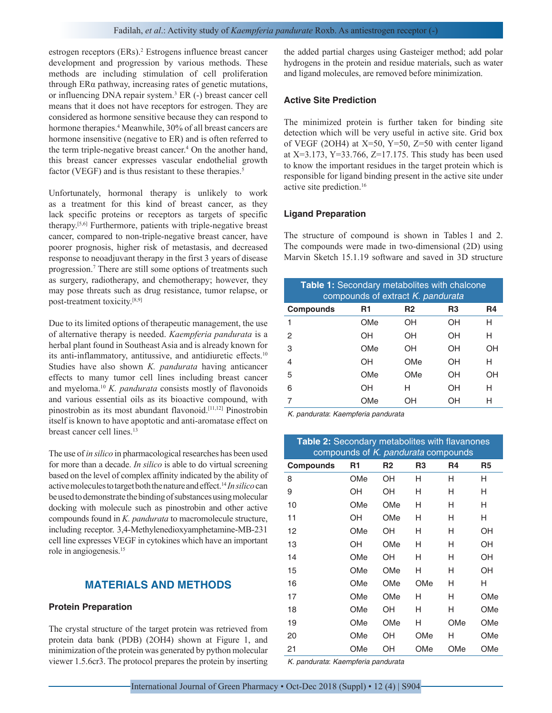estrogen receptors (ERs).<sup>2</sup> Estrogens influence breast cancer development and progression by various methods. These methods are including stimulation of cell proliferation through ERα pathway, increasing rates of genetic mutations, or influencing DNA repair system.<sup>3</sup> ER (-) breast cancer cell means that it does not have receptors for estrogen. They are considered as hormone sensitive because they can respond to hormone therapies.<sup>4</sup> Meanwhile, 30% of all breast cancers are hormone insensitive (negative to ER) and is often referred to the term triple-negative breast cancer.<sup>4</sup> On the another hand, this breast cancer expresses vascular endothelial growth factor (VEGF) and is thus resistant to these therapies.<sup>5</sup>

Unfortunately, hormonal therapy is unlikely to work as a treatment for this kind of breast cancer, as they lack specific proteins or receptors as targets of specific therapy.[5,6] Furthermore, patients with triple-negative breast cancer, compared to non-triple-negative breast cancer, have poorer prognosis, higher risk of metastasis, and decreased response to neoadjuvant therapy in the first 3 years of disease progression.7 There are still some options of treatments such as surgery, radiotherapy, and chemotherapy; however, they may pose threats such as drug resistance, tumor relapse, or post-treatment toxicity.[8,9]

Due to its limited options of therapeutic management, the use of alternative therapy is needed. *Kaempferia pandurata* is a herbal plant found in Southeast Asia and is already known for its anti-inflammatory, antitussive, and antidiuretic effects.<sup>10</sup> Studies have also shown *K. pandurata* having anticancer effects to many tumor cell lines including breast cancer and myeloma.<sup>10</sup> *K. pandurata* consists mostly of flavonoids and various essential oils as its bioactive compound, with pinostrobin as its most abundant flavonoid.[11,12] Pinostrobin itself is known to have apoptotic and anti-aromatase effect on breast cancer cell lines.<sup>13</sup>

The use of *in silico* in pharmacological researches has been used for more than a decade. *In silico* is able to do virtual screening based on the level of complex affinity indicated by the ability of active molecules to target both the nature and effect.14 *In silico* can be used to demonstrate the binding of substances using molecular docking with molecule such as pinostrobin and other active compounds found in *K. pandurata* to macromolecule structure, including receptor. 3,4-Methylenedioxyamphetamine-MB-231 cell line expresses VEGF in cytokines which have an important role in angiogenesis.15

# **MATERIALS AND METHODS**

## **Protein Preparation**

The crystal structure of the target protein was retrieved from protein data bank (PDB) (2OH4) shown at Figure 1, and minimization of the protein was generated by python molecular viewer 1.5.6cr3. The protocol prepares the protein by inserting the added partial charges using Gasteiger method; add polar hydrogens in the protein and residue materials, such as water and ligand molecules, are removed before minimization.

## **Active Site Prediction**

The minimized protein is further taken for binding site detection which will be very useful in active site. Grid box of VEGF (2OH4) at X=50, Y=50, Z=50 with center ligand at  $X=3.173$ ,  $Y=33.766$ ,  $Z=17.175$ . This study has been used to know the important residues in the target protein which is responsible for ligand binding present in the active site under active site prediction.16

#### **Ligand Preparation**

The structure of compound is shown in Tables 1 and 2. The compounds were made in two-dimensional (2D) using Marvin Sketch 15.1.19 software and saved in 3D structure

| <b>Table 1:</b> Secondary metabolites with chalcone<br>compounds of extract K. pandurata |     |     |                |    |
|------------------------------------------------------------------------------------------|-----|-----|----------------|----|
| <b>Compounds</b>                                                                         | R1  | R2  | R <sub>3</sub> | R4 |
| 1                                                                                        | OMe | OН  | OН             | н  |
| 2                                                                                        | OН  | OН  | OH             | н  |
| 3                                                                                        | OMe | OН  | ΟH             | ΟH |
| 4                                                                                        | OН  | OMe | OH             | н  |
| 5                                                                                        | OMe | OMe | OH             | OH |
| 6                                                                                        | OН  | н   | OН             | н  |
|                                                                                          | OMe | OН  | OΗ             | н  |

*K. pandurata*: *Kaempferia pandurata*

| <b>Table 2: Secondary metabolites with flavanones</b><br>compounds of K. pandurata compounds |     |     |                |     |                |
|----------------------------------------------------------------------------------------------|-----|-----|----------------|-----|----------------|
| <b>Compounds</b>                                                                             | R1  | R2  | R <sub>3</sub> | R4  | R <sub>5</sub> |
| 8                                                                                            | OMe | OН  | н              | н   | н              |
| 9                                                                                            | OН  | OН  | н              | н   | н              |
| 10                                                                                           | OMe | OMe | н              | н   | н              |
| 11                                                                                           | OН  | OMe | н              | н   | н              |
| 12                                                                                           | OMe | OН  | н              | н   | OH             |
| 13                                                                                           | OН  | OMe | н              | н   | OH             |
| 14                                                                                           | OMe | OН  | н              | н   | OН             |
| 15                                                                                           | OMe | OMe | н              | н   | OН             |
| 16                                                                                           | OMe | OMe | OMe            | н   | н              |
| 17                                                                                           | OMe | OMe | н              | н   | OMe            |
| 18                                                                                           | OMe | OН  | н              | н   | OMe            |
| 19                                                                                           | OMe | OMe | н              | OMe | OMe            |
| 20                                                                                           | OMe | OН  | OMe            | н   | OMe            |
| 21                                                                                           | OMe | OН  | OMe            | OMe | OMe            |

*K. pandurata*: *Kaempferia pandurata*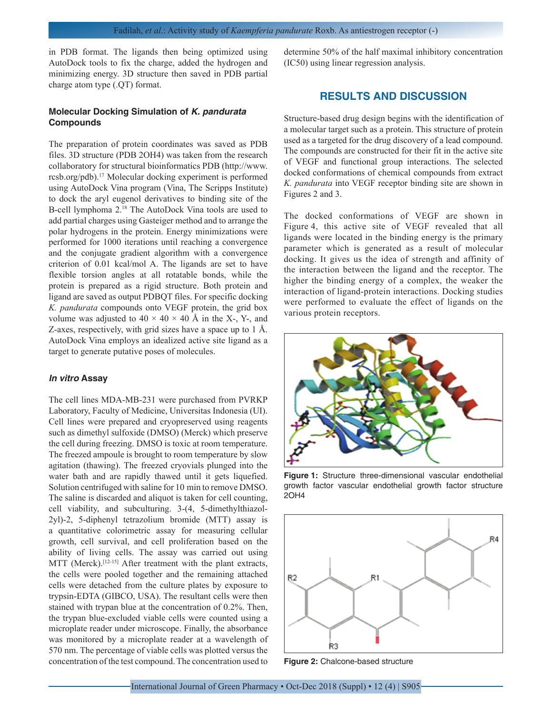in PDB format. The ligands then being optimized using AutoDock tools to fix the charge, added the hydrogen and minimizing energy. 3D structure then saved in PDB partial charge atom type (.QT) format.

## **Molecular Docking Simulation of** *K. pandurata*  **Compounds**

The preparation of protein coordinates was saved as PDB files. 3D structure (PDB 2OH4) was taken from the research collaboratory for structural bioinformatics PDB (http://www. rcsb.org/pdb).17 Molecular docking experiment is performed using AutoDock Vina program (Vina, The Scripps Institute) to dock the aryl eugenol derivatives to binding site of the B-cell lymphoma 2.<sup>18</sup> The AutoDock Vina tools are used to add partial charges using Gasteiger method and to arrange the polar hydrogens in the protein. Energy minimizations were performed for 1000 iterations until reaching a convergence and the conjugate gradient algorithm with a convergence criterion of 0.01 kcal/mol A. The ligands are set to have flexible torsion angles at all rotatable bonds, while the protein is prepared as a rigid structure. Both protein and ligand are saved as output PDBQT files. For specific docking *K. pandurata* compounds onto VEGF protein, the grid box volume was adjusted to  $40 \times 40 \times 40$  Å in the X-, Y-, and Z-axes, respectively, with grid sizes have a space up to 1 Å. AutoDock Vina employs an idealized active site ligand as a target to generate putative poses of molecules.

#### *In vitro* **Assay**

The cell lines MDA-MB-231 were purchased from PVRKP Laboratory, Faculty of Medicine, Universitas Indonesia (UI). Cell lines were prepared and cryopreserved using reagents such as dimethyl sulfoxide (DMSO) (Merck) which preserve the cell during freezing. DMSO is toxic at room temperature. The freezed ampoule is brought to room temperature by slow agitation (thawing). The freezed cryovials plunged into the water bath and are rapidly thawed until it gets liquefied. Solution centrifuged with saline for 10 min to remove DMSO. The saline is discarded and aliquot is taken for cell counting, cell viability, and subculturing. 3-(4, 5-dimethylthiazol-2yl)-2, 5-diphenyl tetrazolium bromide (MTT) assay is a quantitative colorimetric assay for measuring cellular growth, cell survival, and cell proliferation based on the ability of living cells. The assay was carried out using MTT (Merck).<sup>[12-15]</sup> After treatment with the plant extracts, the cells were pooled together and the remaining attached cells were detached from the culture plates by exposure to trypsin-EDTA (GIBCO, USA). The resultant cells were then stained with trypan blue at the concentration of 0.2%. Then, the trypan blue-excluded viable cells were counted using a microplate reader under microscope. Finally, the absorbance was monitored by a microplate reader at a wavelength of 570 nm. The percentage of viable cells was plotted versus the concentration of the test compound. The concentration used to

determine 50% of the half maximal inhibitory concentration (IC50) using linear regression analysis.

# **RESULTS AND DISCUSSION**

Structure-based drug design begins with the identification of a molecular target such as a protein. This structure of protein used as a targeted for the drug discovery of a lead compound. The compounds are constructed for their fit in the active site of VEGF and functional group interactions. The selected docked conformations of chemical compounds from extract *K. pandurata* into VEGF receptor binding site are shown in Figures 2 and 3.

The docked conformations of VEGF are shown in Figure 4, this active site of VEGF revealed that all ligands were located in the binding energy is the primary parameter which is generated as a result of molecular docking. It gives us the idea of strength and affinity of the interaction between the ligand and the receptor. The higher the binding energy of a complex, the weaker the interaction of ligand-protein interactions. Docking studies were performed to evaluate the effect of ligands on the various protein receptors.



**Figure 1:** Structure three-dimensional vascular endothelial growth factor vascular endothelial growth factor structure 2OH4



**Figure 2:** Chalcone-based structure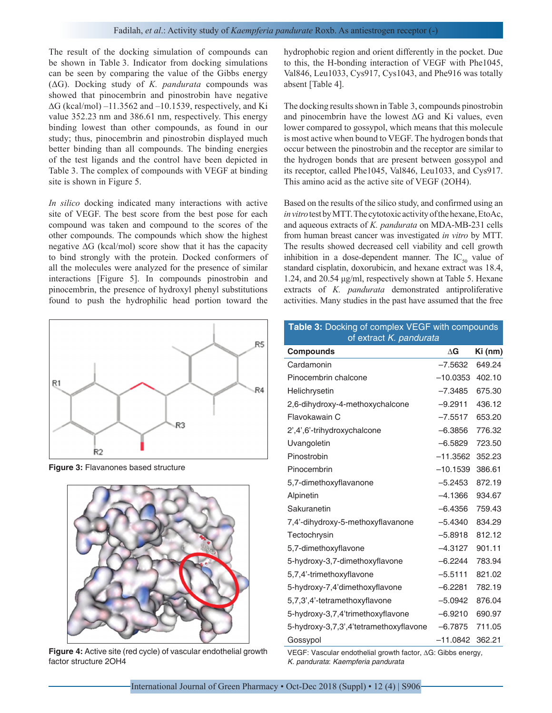The result of the docking simulation of compounds can be shown in Table 3. Indicator from docking simulations can be seen by comparing the value of the Gibbs energy (ΔG). Docking study of *K. pandurata* compounds was showed that pinocembrin and pinostrobin have negative ∆G (kcal/mol) –11.3562 and –10.1539, respectively, and Ki value 352.23 nm and 386.61 nm, respectively. This energy binding lowest than other compounds, as found in our study; thus, pinocembrin and pinostrobin displayed much better binding than all compounds. The binding energies of the test ligands and the control have been depicted in Table 3. The complex of compounds with VEGF at binding site is shown in Figure 5.

*In silico* docking indicated many interactions with active site of VEGF. The best score from the best pose for each compound was taken and compound to the scores of the other compounds. The compounds which show the highest negative ∆G (kcal/mol) score show that it has the capacity to bind strongly with the protein. Docked conformers of all the molecules were analyzed for the presence of similar interactions [Figure 5]. In compounds pinostrobin and pinocembrin, the presence of hydroxyl phenyl substitutions found to push the hydrophilic head portion toward the



**Figure 3:** Flavanones based structure



**Figure 4:** Active site (red cycle) of vascular endothelial growth factor structure 2OH4

hydrophobic region and orient differently in the pocket. Due to this, the H-bonding interaction of VEGF with Phe1045, Val846, Leu1033, Cys917, Cys1043, and Phe916 was totally absent [Table 4].

The docking results shown in Table 3, compounds pinostrobin and pinocembrin have the lowest  $\Delta G$  and Ki values, even lower compared to gossypol, which means that this molecule is most active when bound to VEGF. The hydrogen bonds that occur between the pinostrobin and the receptor are similar to the hydrogen bonds that are present between gossypol and its receptor, called Phe1045, Val846, Leu1033, and Cys917. This amino acid as the active site of VEGF (2OH4).

Based on the results of the silico study, and confirmed using an *in vitro* test by MTT. The cytotoxic activity of the hexane, EtoAc, and aqueous extracts of *K. pandurata* on MDA-MB-231 cells from human breast cancer was investigated *in vitro* by MTT. The results showed decreased cell viability and cell growth inhibition in a dose-dependent manner. The  $IC_{50}$  value of standard cisplatin, doxorubicin, and hexane extract was 18.4, 1.24, and 20.54 μg/ml, respectively shown at Table 5. Hexane extracts of *K. pandurata* demonstrated antiproliferative activities. Many studies in the past have assumed that the free

| Table 3: Docking of complex VEGF with compounds<br>of extract K. pandurata |            |         |  |  |
|----------------------------------------------------------------------------|------------|---------|--|--|
| <b>Compounds</b>                                                           | $\Delta G$ | Ki (nm) |  |  |
| Cardamonin                                                                 | $-7.5632$  | 649.24  |  |  |
| Pinocembrin chalcone                                                       | $-10.0353$ | 402.10  |  |  |
| Helichrysetin                                                              | $-7.3485$  | 675.30  |  |  |
| 2,6-dihydroxy-4-methoxychalcone                                            | $-9.2911$  | 436.12  |  |  |
| Flavokawain C                                                              | $-7.5517$  | 653.20  |  |  |
| 2',4',6'-trihydroxychalcone                                                | $-6.3856$  | 776.32  |  |  |
| Uvangoletin                                                                | $-6.5829$  | 723.50  |  |  |
| Pinostrobin                                                                | $-11.3562$ | 352.23  |  |  |
| Pinocembrin                                                                | $-10.1539$ | 386.61  |  |  |
| 5,7-dimethoxyflavanone                                                     | $-5.2453$  | 872.19  |  |  |
| Alpinetin                                                                  | $-4.1366$  | 934.67  |  |  |
| Sakuranetin                                                                | $-6.4356$  | 759.43  |  |  |
| 7,4'-dihydroxy-5-methoxyflavanone                                          | $-5.4340$  | 834.29  |  |  |
| Tectochrysin                                                               | $-5.8918$  | 812.12  |  |  |
| 5,7-dimethoxyflavone                                                       | $-4.3127$  | 901.11  |  |  |
| 5-hydroxy-3,7-dimethoxyflavone                                             | $-6.2244$  | 783.94  |  |  |
| 5,7,4'-trimethoxyflavone                                                   | $-5.5111$  | 821.02  |  |  |
| 5-hydroxy-7,4'dimethoxyflavone                                             | $-6.2281$  | 782.19  |  |  |
| 5,7,3',4'-tetramethoxyflavone                                              | $-5.0942$  | 876.04  |  |  |
| 5-hydroxy-3,7,4'trimethoxyflavone                                          | $-6.9210$  | 690.97  |  |  |
| 5-hydroxy-3,7,3',4'tetramethoxyflavone                                     | $-6.7875$  | 711.05  |  |  |
| Gossypol                                                                   | $-11.0842$ | 362.21  |  |  |

VEGF: Vascular endothelial growth factor, ΔG: Gibbs energy*, K. pandurata*: *Kaempferia pandurata*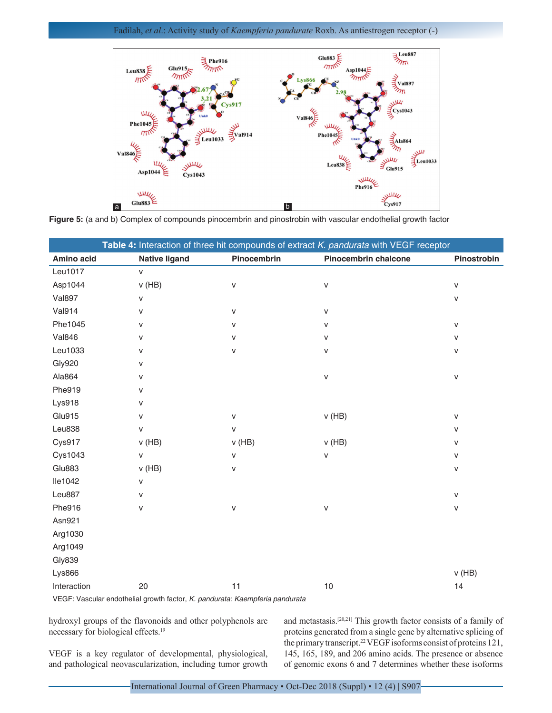## Fadilah, *et al*.: Activity study of *Kaempferia pandurate* Roxb. As antiestrogen receptor (-)



**Figure 5:** (a and b) Complex of compounds pinocembrin and pinostrobin with vascular endothelial growth factor

|                |                      |              | Table 4: Interaction of three hit compounds of extract K. pandurata with VEGF receptor |              |
|----------------|----------------------|--------------|----------------------------------------------------------------------------------------|--------------|
| Amino acid     | <b>Native ligand</b> | Pinocembrin  | Pinocembrin chalcone                                                                   | Pinostrobin  |
| Leu1017        | $\mathsf{v}$         |              |                                                                                        |              |
| Asp1044        | $v$ (HB)             | $\mathsf{v}$ | $\mathsf{V}$                                                                           | v            |
| <b>Val897</b>  | v                    |              |                                                                                        | v            |
| <b>Val914</b>  | V                    | $\mathsf{V}$ | $\mathsf{V}$                                                                           |              |
| Phe1045        | v                    | V            | $\mathsf{V}$                                                                           | $\mathsf{V}$ |
| <b>Val846</b>  | v                    | $\mathsf{V}$ | $\mathsf{v}$                                                                           | v            |
| Leu1033        | v                    | $\sf V$      | v                                                                                      | v            |
| <b>Gly920</b>  | v                    |              |                                                                                        |              |
| Ala864         | v                    |              | $\mathsf{V}$                                                                           | V            |
| Phe919         | v                    |              |                                                                                        |              |
| Lys918         | v                    |              |                                                                                        |              |
| Glu915         | V                    | $\mathsf{V}$ | $v$ (HB)                                                                               | $\mathsf{V}$ |
| Leu838         | V                    | $\mathsf{V}$ |                                                                                        | v            |
| Cys917         | $v$ (HB)             | $v$ (HB)     | $v$ (HB)                                                                               | v            |
| <b>Cys1043</b> | V                    | $\mathsf{V}$ | V                                                                                      | v            |
| Glu883         | $v$ (HB)             | V            |                                                                                        | V            |
| lle1042        | V                    |              |                                                                                        |              |
| Leu887         | v                    |              |                                                                                        | v            |
| Phe916         | v                    | $\mathsf{V}$ | v                                                                                      | v            |
| Asn921         |                      |              |                                                                                        |              |
| Arg1030        |                      |              |                                                                                        |              |
| Arg1049        |                      |              |                                                                                        |              |
| <b>Gly839</b>  |                      |              |                                                                                        |              |
| <b>Lys866</b>  |                      |              |                                                                                        | $v$ (HB)     |
| Interaction    | 20                   | 11           | 10                                                                                     | 14           |

VEGF: Vascular endothelial growth factor, *K. pandurata*: *Kaempferia pandurata*

hydroxyl groups of the flavonoids and other polyphenols are necessary for biological effects.<sup>19</sup>

VEGF is a key regulator of developmental, physiological, and pathological neovascularization, including tumor growth and metastasis.[20,21] This growth factor consists of a family of proteins generated from a single gene by alternative splicing of the primary transcript.<sup>22</sup> VEGF isoforms consist of proteins 121, 145, 165, 189, and 206 amino acids. The presence or absence of genomic exons 6 and 7 determines whether these isoforms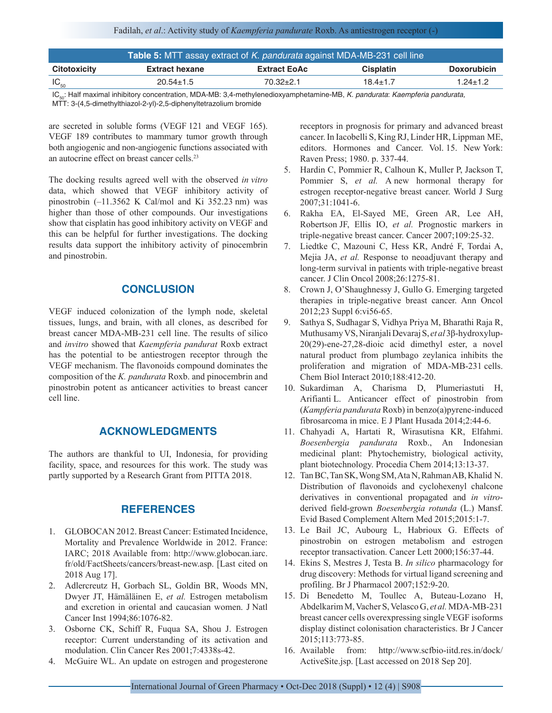## Fadilah, *et al*.: Activity study of *Kaempferia pandurate* Roxb. As antiestrogen receptor (-)

|                     | Table 5: MTT assay extract of K. pandurata against MDA-MB-231 cell line |                     |                  |                    |
|---------------------|-------------------------------------------------------------------------|---------------------|------------------|--------------------|
| <b>Citotoxicity</b> | <b>Extract hexane</b>                                                   | <b>Extract EoAc</b> | <b>Cisplatin</b> | <b>Doxorubicin</b> |
| $IC_{50}$           | $20.54 \pm 1.5$                                                         | $70.32 + 2.1$       | $18.4 \pm 1.7$   | $1.24 \pm 1.2$     |

IC50: Half maximal inhibitory concentration, MDA-MB: 3,4-methylenedioxyamphetamine-MB, *K. pandurata*: *Kaempferia pandurata,*  MTT: 3-(4,5-dimethylthiazol-2-yl)-2,5-diphenyltetrazolium bromide

are secreted in soluble forms (VEGF 121 and VEGF 165). VEGF 189 contributes to mammary tumor growth through both angiogenic and non-angiogenic functions associated with an autocrine effect on breast cancer cells.<sup>23</sup>

The docking results agreed well with the observed *in vitro* data, which showed that VEGF inhibitory activity of pinostrobin (–11.3562 K Cal/mol and Ki 352.23 nm) was higher than those of other compounds. Our investigations show that cisplatin has good inhibitory activity on VEGF and this can be helpful for further investigations. The docking results data support the inhibitory activity of pinocembrin and pinostrobin.

# **CONCLUSION**

VEGF induced colonization of the lymph node, skeletal tissues, lungs, and brain, with all clones, as described for breast cancer MDA-MB-231 cell line. The results of silico and *invitro* showed that *Kaempferia pandurat* Roxb extract has the potential to be antiestrogen receptor through the VEGF mechanism. The flavonoids compound dominates the composition of the *K. pandurata* Roxb. and pinocembrin and pinostrobin potent as anticancer activities to breast cancer cell line.

# **ACKNOWLEDGMENTS**

The authors are thankful to UI, Indonesia, for providing facility, space, and resources for this work. The study was partly supported by a Research Grant from PITTA 2018.

# **REFERENCES**

- 1. GLOBOCAN 2012. Breast Cancer: Estimated Incidence, Mortality and Prevalence Worldwide in 2012. France: IARC; 2018 Available from: http://www.globocan.iarc. fr/old/FactSheets/cancers/breast-new.asp. [Last cited on 2018 Aug 17].
- 2. Adlercreutz H, Gorbach SL, Goldin BR, Woods MN, Dwyer JT, Hämäläinen E, *et al.* Estrogen metabolism and excretion in oriental and caucasian women. J Natl Cancer Inst 1994;86:1076-82.
- 3. Osborne CK, Schiff R, Fuqua SA, Shou J. Estrogen receptor: Current understanding of its activation and modulation. Clin Cancer Res 2001;7:4338s-42.
- 4. McGuire WL. An update on estrogen and progesterone

receptors in prognosis for primary and advanced breast cancer. In Iacobelli S, King RJ, Linder HR, Lippman ME, editors. Hormones and Cancer. Vol. 15. New York: Raven Press; 1980. p. 337-44.

- 5. Hardin C, Pommier R, Calhoun K, Muller P, Jackson T, Pommier S, *et al.* A new hormonal therapy for estrogen receptor-negative breast cancer. World J Surg 2007;31:1041-6.
- 6. Rakha EA, El-Sayed ME, Green AR, Lee AH, Robertson JF, Ellis IO, *et al.* Prognostic markers in triple-negative breast cancer. Cancer 2007;109:25-32.
- 7. Liedtke C, Mazouni C, Hess KR, André F, Tordai A, Mejia JA, *et al.* Response to neoadjuvant therapy and long-term survival in patients with triple-negative breast cancer. J Clin Oncol 2008;26:1275-81.
- 8. Crown J, O'Shaughnessy J, Gullo G. Emerging targeted therapies in triple-negative breast cancer. Ann Oncol 2012;23 Suppl 6:vi56-65.
- 9. Sathya S, Sudhagar S, Vidhya Priya M, Bharathi Raja R, Muthusamy VS, Niranjali Devaraj S, *et al* 3β-hydroxylup-20(29)-ene-27,28-dioic acid dimethyl ester, a novel natural product from plumbago zeylanica inhibits the proliferation and migration of MDA-MB-231 cells. Chem Biol Interact 2010;188:412-20.
- 10. Sukardiman A, Charisma D, Plumeriastuti H, Arifianti L. Anticancer effect of pinostrobin from (*Kampferia pandurata* Roxb) in benzo(a)pyrene-induced fibrosarcoma in mice. E J Plant Husada 2014;2:44-6.
- 11. Chahyadi A, Hartati R, Wirasutisna KR, Elfahmi. *Boesenbergia pandurata* Roxb., An Indonesian medicinal plant: Phytochemistry, biological activity, plant biotechnology. Procedia Chem 2014;13:13-37.
- 12. Tan BC, Tan SK, Wong SM, Ata N, Rahman AB, Khalid N. Distribution of flavonoids and cyclohexenyl chalcone derivatives in conventional propagated and *in vitro*derived field-grown *Boesenbergia rotunda* (L.) Mansf. Evid Based Complement Altern Med 2015;2015:1-7.
- 13. Le Bail JC, Aubourg L, Habrioux G. Effects of pinostrobin on estrogen metabolism and estrogen receptor transactivation. Cancer Lett 2000;156:37-44.
- 14. Ekins S, Mestres J, Testa B. *In silico* pharmacology for drug discovery: Methods for virtual ligand screening and profiling. Br J Pharmacol 2007;152:9-20.
- 15. Di Benedetto M, Toullec A, Buteau-Lozano H, Abdelkarim M, Vacher S, Velasco G, *et al.* MDA-MB-231 breast cancer cells overexpressing single VEGF isoforms display distinct colonisation characteristics. Br J Cancer 2015;113:773-85.
- 16. Available from: http://www.scfbio-iitd.res.in/dock/ ActiveSite.jsp. [Last accessed on 2018 Sep 20].